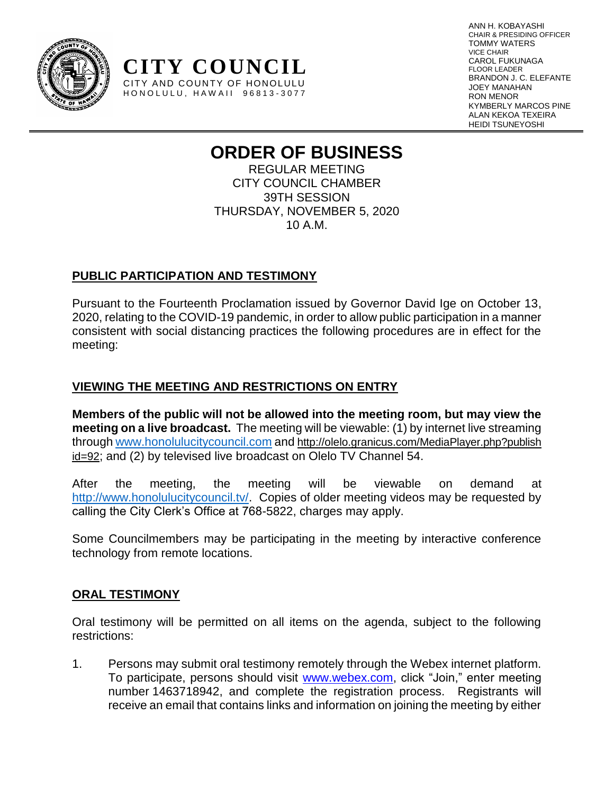

ANN H. KOBAYASHI CHAIR & PRESIDING OFFICER TOMMY WATERS VICE CHAIR CAROL FUKUNAGA FLOOR LEADER BRANDON J. C. ELEFANTE JOEY MANAHAN RON MENOR KYMBERLY MARCOS PINE ALAN KEKOA TEXEIRA HEIDI TSUNEYOSHI

# **ORDER OF BUSINESS**

REGULAR MEETING CITY COUNCIL CHAMBER 39TH SESSION THURSDAY, NOVEMBER 5, 2020 10 A.M.

# **PUBLIC PARTICIPATION AND TESTIMONY**

**CITY COUNCIL** CITY AND COUNTY OF HONOLULU HONOLULU, HAWAII 96813-3077

Pursuant to the Fourteenth Proclamation issued by Governor David Ige on October 13, 2020, relating to the COVID-19 pandemic, in order to allow public participation in a manner consistent with social distancing practices the following procedures are in effect for the meeting:

# **VIEWING THE MEETING AND RESTRICTIONS ON ENTRY**

**Members of the public will not be allowed into the meeting room, but may view the meeting on a live broadcast.** The meeting will be viewable: (1) by internet live streaming through [www.honolulucitycouncil.com](http://www.honolulucitycouncil.com/) and [http://olelo.granicus.com/MediaPlayer.php?publish](http://olelo.granicus.com/MediaPlayer.php?publish%20id=92)  [id=92](http://olelo.granicus.com/MediaPlayer.php?publish%20id=92); and (2) by televised live broadcast on Olelo TV Channel 54.

After the meeting, the meeting will be viewable on demand at http://www.honolulucitycouncil.ty/. Copies of older meeting videos may be requested by calling the City Clerk's Office at 768-5822, charges may apply.

Some Councilmembers may be participating in the meeting by interactive conference technology from remote locations.

# **ORAL TESTIMONY**

Oral testimony will be permitted on all items on the agenda, subject to the following restrictions:

1. Persons may submit oral testimony remotely through the Webex internet platform. To participate, persons should visit [www.webex.com,](http://www.webex.com/) click "Join," enter meeting number 1463718942, and complete the registration process. Registrants will receive an email that contains links and information on joining the meeting by either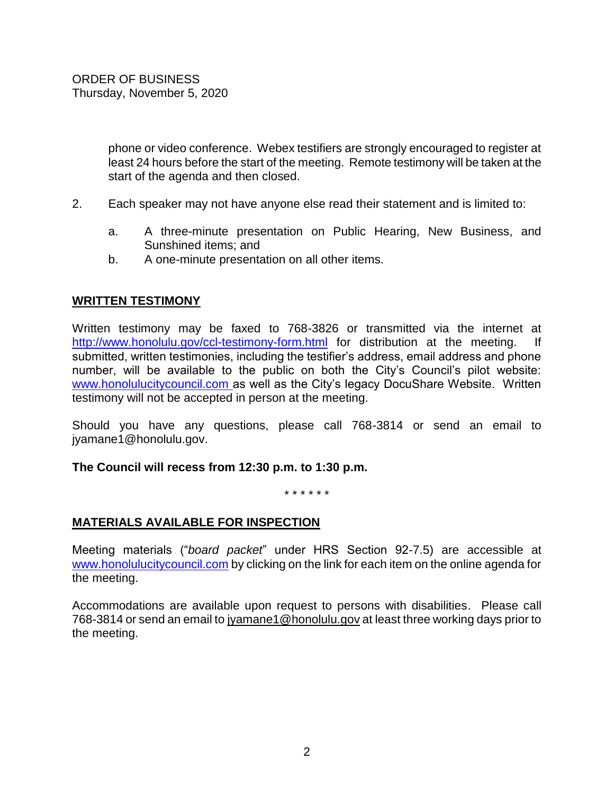phone or video conference. Webex testifiers are strongly encouraged to register at least 24 hours before the start of the meeting. Remote testimony will be taken at the start of the agenda and then closed.

- 2. Each speaker may not have anyone else read their statement and is limited to:
	- a. A three-minute presentation on Public Hearing, New Business, and Sunshined items; and
	- b. A one-minute presentation on all other items.

# **WRITTEN TESTIMONY**

Written testimony may be faxed to 768-3826 or transmitted via the internet at <http://www.honolulu.gov/ccl-testimony-form.html> for distribution at the meeting. If submitted, written testimonies, including the testifier's address, email address and phone number, will be available to the public on both the City's Council's pilot website: [www.honolulucitycouncil.com](http://www.honolulucitycouncil.com/) as well as the City's legacy DocuShare Website. Written testimony will not be accepted in person at the meeting.

Should you have any questions, please call 768-3814 or send an email to jyamane1@honolulu.gov.

#### **The Council will recess from 12:30 p.m. to 1:30 p.m.**

\* \* \* \* \* \*

# **MATERIALS AVAILABLE FOR INSPECTION**

Meeting materials ("*board packet*" under HRS Section 92-7.5) are accessible at [www.honolulucitycouncil.com](http://www.honolulucitycouncil.com/) by clicking on the link for each item on the online agenda for the meeting.

Accommodations are available upon request to persons with disabilities. Please call 768-3814 or send an email t[o jyamane1@honolulu.gov](mailto:jyamane1@honolulu.gov) at least three working days prior to the meeting.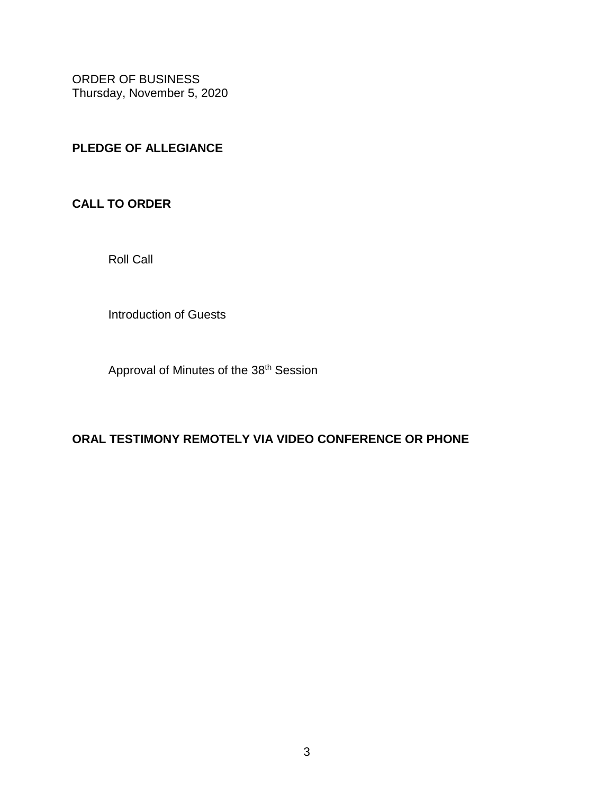# **PLEDGE OF ALLEGIANCE**

# **CALL TO ORDER**

Roll Call

Introduction of Guests

Approval of Minutes of the 38<sup>th</sup> Session

# **ORAL TESTIMONY REMOTELY VIA VIDEO CONFERENCE OR PHONE**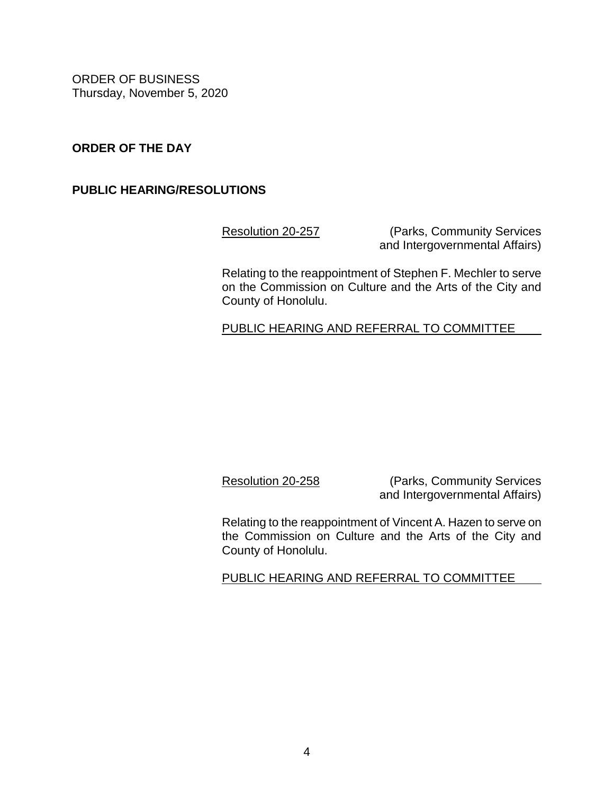# **ORDER OF THE DAY**

# **PUBLIC HEARING/RESOLUTIONS**

[Resolution 20-257](https://hnldoc.ehawaii.gov/hnldoc/document-download?id=8110) (Parks, Community Services and Intergovernmental Affairs)

Relating to the reappointment of Stephen F. Mechler to serve on the Commission on Culture and the Arts of the City and County of Honolulu.

PUBLIC HEARING AND REFERRAL TO COMMITTEE

[Resolution 20-258](https://hnldoc.ehawaii.gov/hnldoc/document-download?id=8111) (Parks, Community Services and Intergovernmental Affairs)

Relating to the reappointment of Vincent A. Hazen to serve on the Commission on Culture and the Arts of the City and County of Honolulu.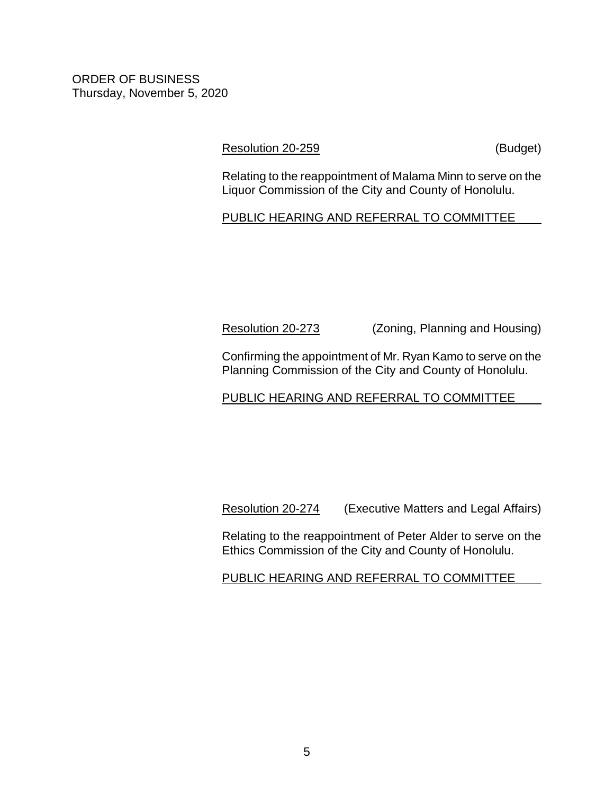# [Resolution 20-259](https://hnldoc.ehawaii.gov/hnldoc/document-download?id=8112) (Budget)

Relating to the reappointment of Malama Minn to serve on the Liquor Commission of the City and County of Honolulu.

# PUBLIC HEARING AND REFERRAL TO COMMITTEE

[Resolution 20-273](https://hnldoc.ehawaii.gov/hnldoc/document-download?id=8312) (Zoning, Planning and Housing)

Confirming the appointment of Mr. Ryan Kamo to serve on the Planning Commission of the City and County of Honolulu.

# PUBLIC HEARING AND REFERRAL TO COMMITTEE

[Resolution 20-274](https://hnldoc.ehawaii.gov/hnldoc/document-download?id=8313) (Executive Matters and Legal Affairs)

Relating to the reappointment of Peter Alder to serve on the Ethics Commission of the City and County of Honolulu.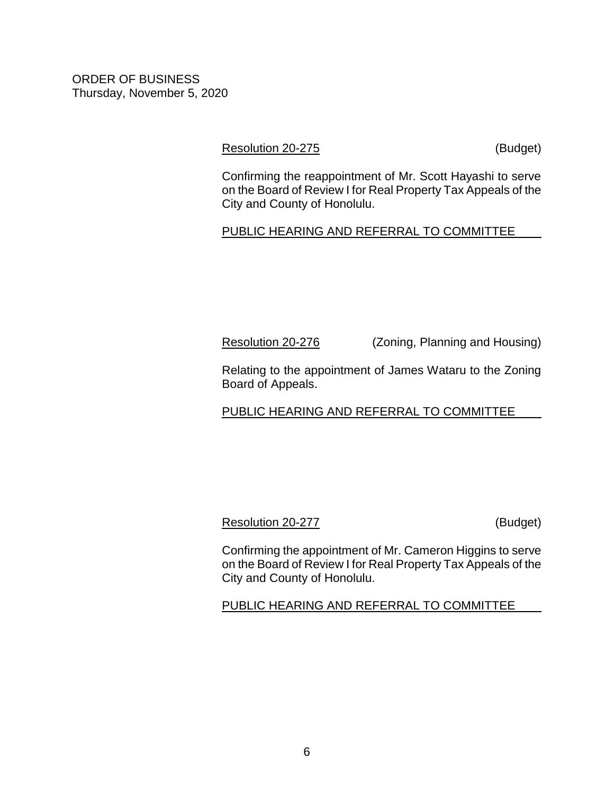# [Resolution 20-275](https://hnldoc.ehawaii.gov/hnldoc/document-download?id=8314) (Budget)

Confirming the reappointment of Mr. Scott Hayashi to serve on the Board of Review I for Real Property Tax Appeals of the City and County of Honolulu.

# PUBLIC HEARING AND REFERRAL TO COMMITTEE

[Resolution 20-276](https://hnldoc.ehawaii.gov/hnldoc/document-download?id=8315) (Zoning, Planning and Housing)

Relating to the appointment of James Wataru to the Zoning Board of Appeals.

# PUBLIC HEARING AND REFERRAL TO COMMITTEE

# [Resolution 20-277](https://hnldoc.ehawaii.gov/hnldoc/document-download?id=8316) (Budget)

Confirming the appointment of Mr. Cameron Higgins to serve on the Board of Review I for Real Property Tax Appeals of the City and County of Honolulu.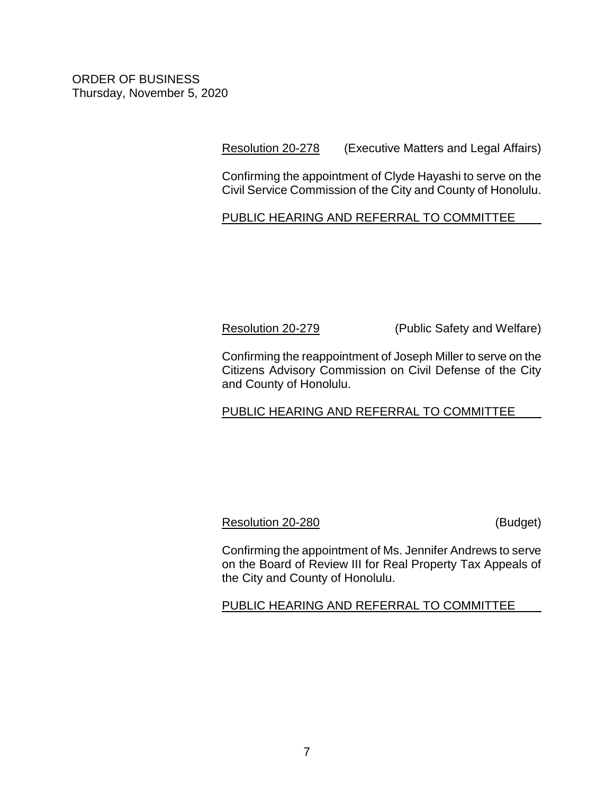[Resolution 20-278](https://hnldoc.ehawaii.gov/hnldoc/document-download?id=8317) (Executive Matters and Legal Affairs)

Confirming the appointment of Clyde Hayashi to serve on the Civil Service Commission of the City and County of Honolulu.

PUBLIC HEARING AND REFERRAL TO COMMITTEE

[Resolution 20-279](https://hnldoc.ehawaii.gov/hnldoc/document-download?id=8318) (Public Safety and Welfare)

Confirming the reappointment of Joseph Miller to serve on the Citizens Advisory Commission on Civil Defense of the City and County of Honolulu.

PUBLIC HEARING AND REFERRAL TO COMMITTEE

[Resolution 20-280](https://hnldoc.ehawaii.gov/hnldoc/document-download?id=8319) (Budget)

Confirming the appointment of Ms. Jennifer Andrews to serve on the Board of Review III for Real Property Tax Appeals of the City and County of Honolulu.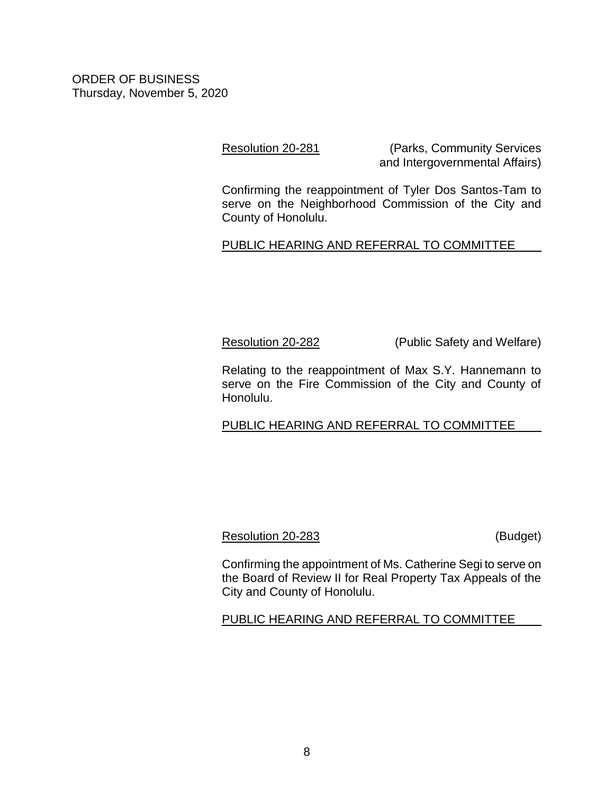[Resolution 20-281](https://hnldoc.ehawaii.gov/hnldoc/document-download?id=8320) (Parks, Community Services and Intergovernmental Affairs)

Confirming the reappointment of Tyler Dos Santos-Tam to serve on the Neighborhood Commission of the City and County of Honolulu.

# PUBLIC HEARING AND REFERRAL TO COMMITTEE

[Resolution 20-282](https://hnldoc.ehawaii.gov/hnldoc/document-download?id=8321) (Public Safety and Welfare)

Relating to the reappointment of Max S.Y. Hannemann to serve on the Fire Commission of the City and County of Honolulu.

PUBLIC HEARING AND REFERRAL TO COMMITTEE

# [Resolution 20-283](https://hnldoc.ehawaii.gov/hnldoc/document-download?id=8322) (Budget)

Confirming the appointment of Ms. Catherine Segi to serve on the Board of Review II for Real Property Tax Appeals of the City and County of Honolulu.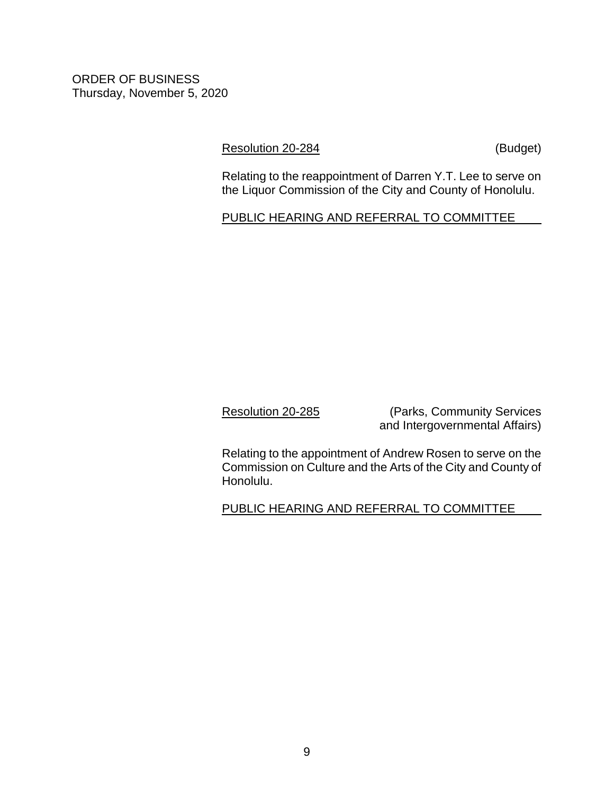[Resolution 20-284](https://hnldoc.ehawaii.gov/hnldoc/document-download?id=8323) (Budget)

Relating to the reappointment of Darren Y.T. Lee to serve on the Liquor Commission of the City and County of Honolulu.

PUBLIC HEARING AND REFERRAL TO COMMITTEE

[Resolution 20-285](https://hnldoc.ehawaii.gov/hnldoc/document-download?id=8324) (Parks, Community Services and Intergovernmental Affairs)

Relating to the appointment of Andrew Rosen to serve on the Commission on Culture and the Arts of the City and County of Honolulu.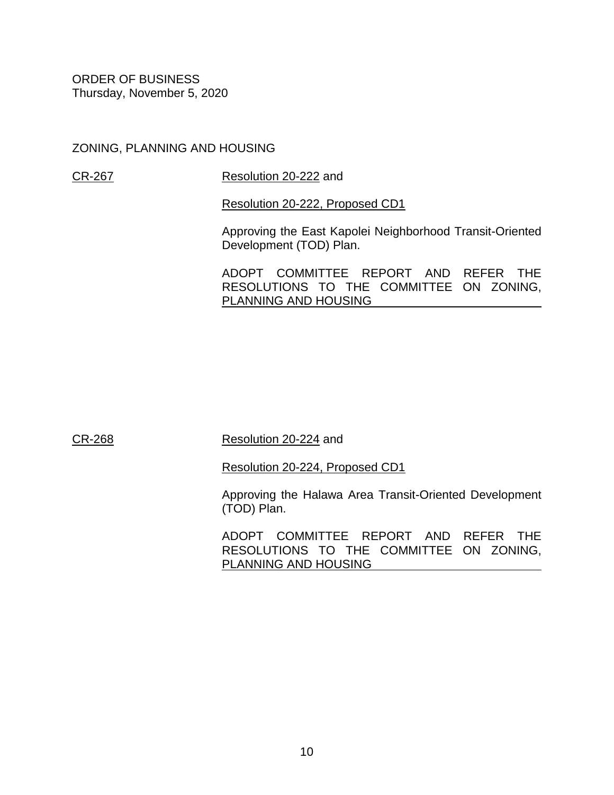ZONING, PLANNING AND HOUSING

[CR-267](https://hnldoc.ehawaii.gov/hnldoc/document-download?id=8269) [Resolution 20-222](https://hnldoc.ehawaii.gov/hnldoc/document-download?id=7657) and

[Resolution 20-222, Proposed CD1](https://hnldoc.ehawaii.gov/hnldoc/document-download?id=8449)

Approving the East Kapolei Neighborhood Transit-Oriented Development (TOD) Plan.

ADOPT COMMITTEE REPORT AND REFER THE RESOLUTIONS TO THE COMMITTEE ON ZONING, PLANNING AND HOUSING

[CR-268](https://hnldoc.ehawaii.gov/hnldoc/document-download?id=8270) [Resolution 20-224](https://hnldoc.ehawaii.gov/hnldoc/document-download?id=7666) and

[Resolution 20-224, Proposed CD1](https://hnldoc.ehawaii.gov/hnldoc/document-download?id=8450)

Approving the Halawa Area Transit-Oriented Development (TOD) Plan.

ADOPT COMMITTEE REPORT AND REFER THE RESOLUTIONS TO THE COMMITTEE ON ZONING, PLANNING AND HOUSING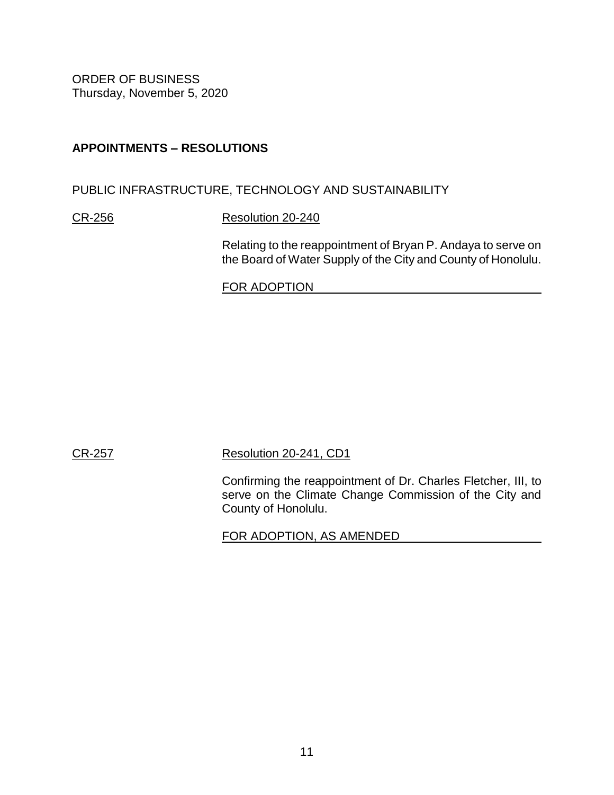# **APPOINTMENTS – RESOLUTIONS**

PUBLIC INFRASTRUCTURE, TECHNOLOGY AND SUSTAINABILITY

[CR-256](https://hnldoc.ehawaii.gov/hnldoc/document-download?id=8237) [Resolution 20-240](https://hnldoc.ehawaii.gov/hnldoc/document-download?id=7807)

Relating to the reappointment of Bryan P. Andaya to serve on the Board of Water Supply of the City and County of Honolulu.

FOR ADOPTION

[CR-257](https://hnldoc.ehawaii.gov/hnldoc/document-download?id=8238) [Resolution 20-241, CD1](https://hnldoc.ehawaii.gov/hnldoc/document-download?id=8288)

Confirming the reappointment of Dr. Charles Fletcher, III, to serve on the Climate Change Commission of the City and County of Honolulu.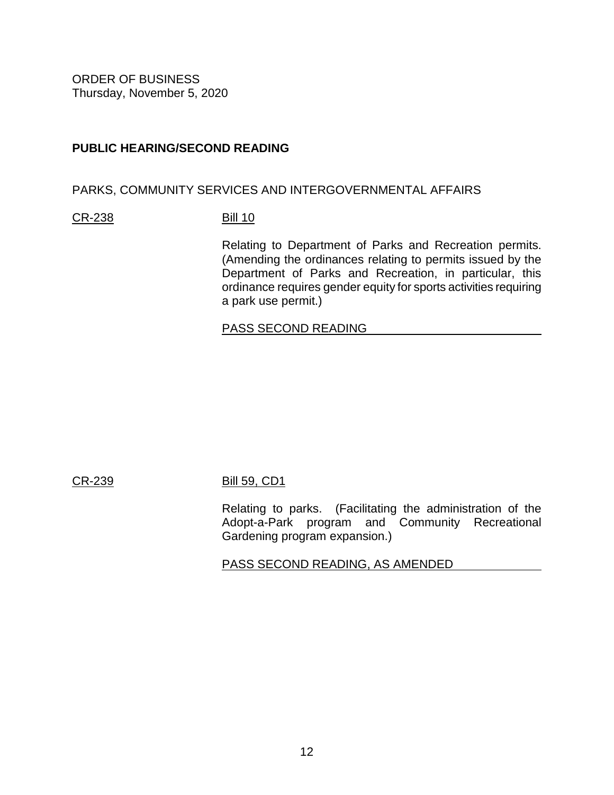# **PUBLIC HEARING/SECOND READING**

## PARKS, COMMUNITY SERVICES AND INTERGOVERNMENTAL AFFAIRS

#### [CR-238](https://hnldoc.ehawaii.gov/hnldoc/document-download?id=7864) [Bill 10](https://hnldoc.ehawaii.gov/hnldoc/document-download?id=5595)

Relating to Department of Parks and Recreation permits. (Amending the ordinances relating to permits issued by the Department of Parks and Recreation, in particular, this ordinance requires gender equity for sports activities requiring a park use permit.)

### PASS SECOND READING

# [CR-239](https://hnldoc.ehawaii.gov/hnldoc/document-download?id=7865) [Bill 59, CD1](https://hnldoc.ehawaii.gov/hnldoc/document-download?id=8230)

Relating to parks. (Facilitating the administration of the Adopt-a-Park program and Community Recreational Gardening program expansion.)

PASS SECOND READING, AS AMENDED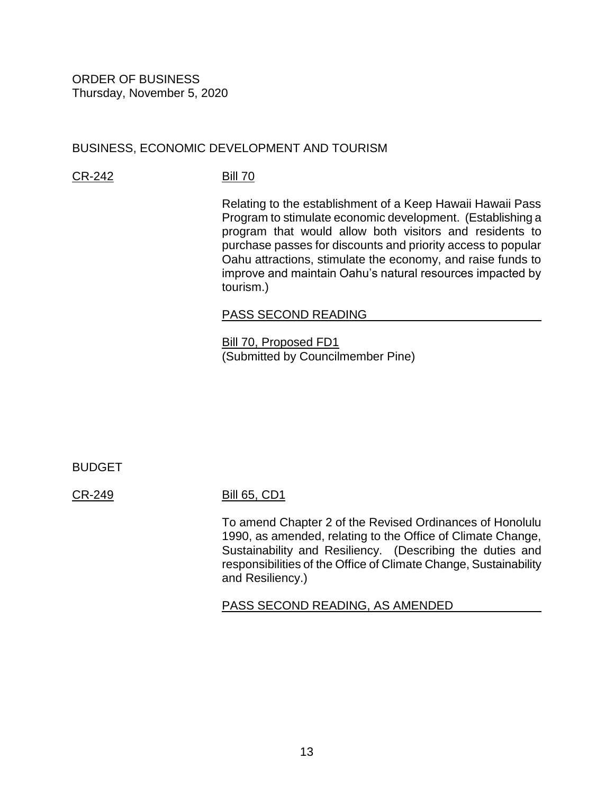# BUSINESS, ECONOMIC DEVELOPMENT AND TOURISM

[CR-242](https://hnldoc.ehawaii.gov/hnldoc/document-download?id=8154) [Bill 70](https://hnldoc.ehawaii.gov/hnldoc/document-download?id=7958)

Relating to the establishment of a Keep Hawaii Hawaii Pass Program to stimulate economic development. (Establishing a program that would allow both visitors and residents to purchase passes for discounts and priority access to popular Oahu attractions, stimulate the economy, and raise funds to improve and maintain Oahu's natural resources impacted by tourism.)

#### PASS SECOND READING

[Bill 70, Proposed FD1](https://hnldoc.ehawaii.gov/hnldoc/document-download?id=8409) (Submitted by Councilmember Pine)

BUDGET

#### [CR-249](https://hnldoc.ehawaii.gov/hnldoc/document-download?id=8161) [Bill 65, CD1](https://hnldoc.ehawaii.gov/hnldoc/document-download?id=8285)

To amend Chapter 2 of the Revised Ordinances of Honolulu 1990, as amended, relating to the Office of Climate Change, Sustainability and Resiliency. (Describing the duties and responsibilities of the Office of Climate Change, Sustainability and Resiliency.)

PASS SECOND READING, AS AMENDED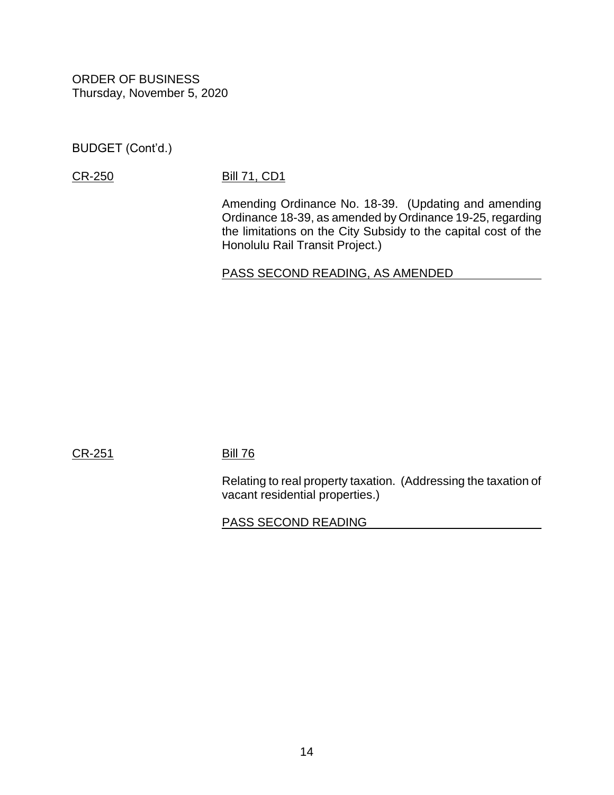BUDGET (Cont'd.)

# [CR-250](https://hnldoc.ehawaii.gov/hnldoc/document-download?id=8162) [Bill 71, CD1](https://hnldoc.ehawaii.gov/hnldoc/document-download?id=8286)

Amending Ordinance No. 18-39. (Updating and amending Ordinance 18-39, as amended by Ordinance 19-25, regarding the limitations on the City Subsidy to the capital cost of the Honolulu Rail Transit Project.)

PASS SECOND READING, AS AMENDED

[CR-251](https://hnldoc.ehawaii.gov/hnldoc/document-download?id=8231) [Bill 76](https://hnldoc.ehawaii.gov/hnldoc/document-download?id=7996)

Relating to real property taxation. (Addressing the taxation of vacant residential properties.)

# PASS SECOND READING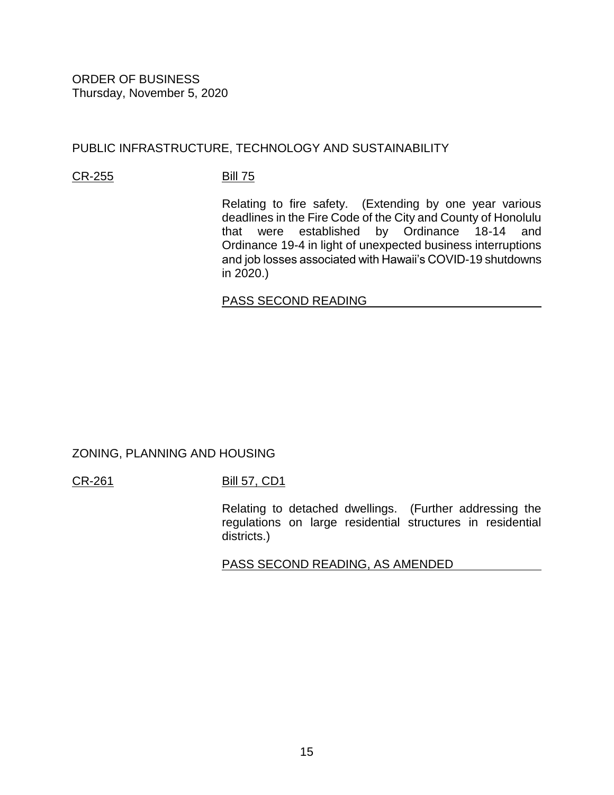# PUBLIC INFRASTRUCTURE, TECHNOLOGY AND SUSTAINABILITY

## [CR-255](https://hnldoc.ehawaii.gov/hnldoc/document-download?id=8236) [Bill 75](https://hnldoc.ehawaii.gov/hnldoc/document-download?id=7995)

Relating to fire safety. (Extending by one year various deadlines in the Fire Code of the City and County of Honolulu that were established by Ordinance 18-14 and Ordinance 19-4 in light of unexpected business interruptions and job losses associated with Hawaii's COVID-19 shutdowns in 2020.)

# PASS SECOND READING

ZONING, PLANNING AND HOUSING

[CR-261](https://hnldoc.ehawaii.gov/hnldoc/document-download?id=8263) [Bill 57, CD1](https://hnldoc.ehawaii.gov/hnldoc/document-download?id=8350)

Relating to detached dwellings. (Further addressing the regulations on large residential structures in residential districts.)

PASS SECOND READING, AS AMENDED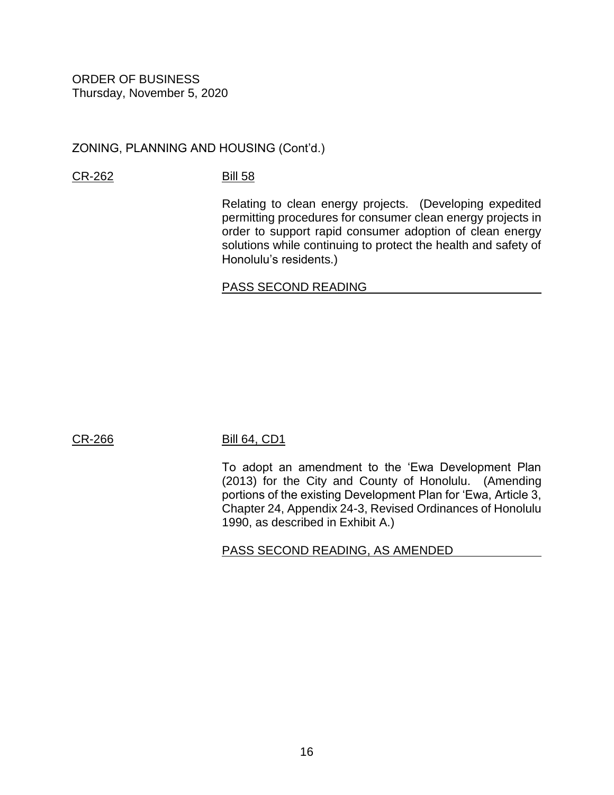ZONING, PLANNING AND HOUSING (Cont'd.)

[CR-262](https://hnldoc.ehawaii.gov/hnldoc/document-download?id=8264) [Bill 58](https://hnldoc.ehawaii.gov/hnldoc/document-download?id=7334)

Relating to clean energy projects. (Developing expedited permitting procedures for consumer clean energy projects in order to support rapid consumer adoption of clean energy solutions while continuing to protect the health and safety of Honolulu's residents.)

# PASS SECOND READING

# [CR-266](https://hnldoc.ehawaii.gov/hnldoc/document-download?id=8268) [Bill 64, CD1](https://hnldoc.ehawaii.gov/hnldoc/document-download?id=8448)

To adopt an amendment to the 'Ewa Development Plan (2013) for the City and County of Honolulu. (Amending portions of the existing Development Plan for 'Ewa, Article 3, Chapter 24, Appendix 24-3, Revised Ordinances of Honolulu 1990, as described in Exhibit A.)

PASS SECOND READING, AS AMENDED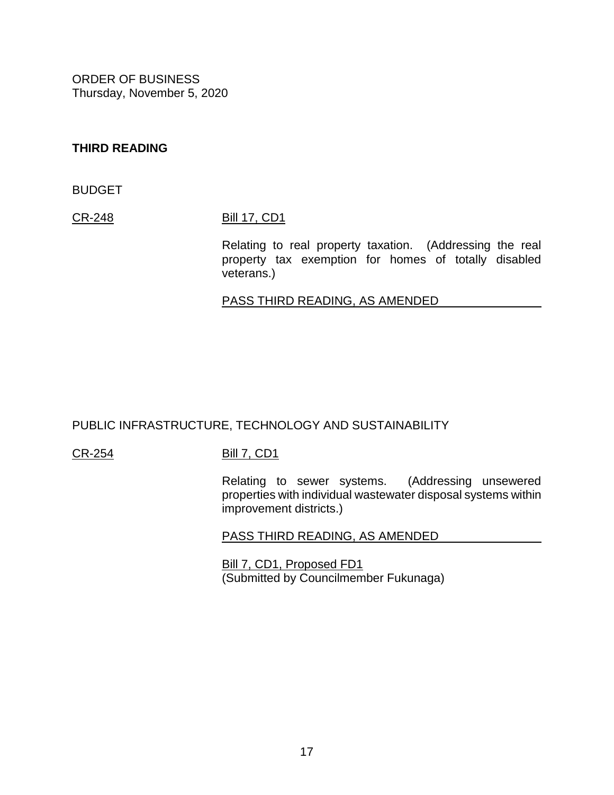# **THIRD READING**

BUDGET

[CR-248](https://hnldoc.ehawaii.gov/hnldoc/document-download?id=8160) [Bill 17, CD1](https://hnldoc.ehawaii.gov/hnldoc/document-download?id=8284)

Relating to real property taxation. (Addressing the real property tax exemption for homes of totally disabled veterans.)

# PASS THIRD READING, AS AMENDED

# PUBLIC INFRASTRUCTURE, TECHNOLOGY AND SUSTAINABILITY

# [CR-254](https://hnldoc.ehawaii.gov/hnldoc/document-download?id=8235) [Bill 7, CD1](https://hnldoc.ehawaii.gov/hnldoc/document-download?id=8289)

Relating to sewer systems. (Addressing unsewered properties with individual wastewater disposal systems within improvement districts.)

#### PASS THIRD READING, AS AMENDED

[Bill 7, CD1, Proposed FD1](https://hnldoc.ehawaii.gov/hnldoc/document-download?id=8468) (Submitted by Councilmember Fukunaga)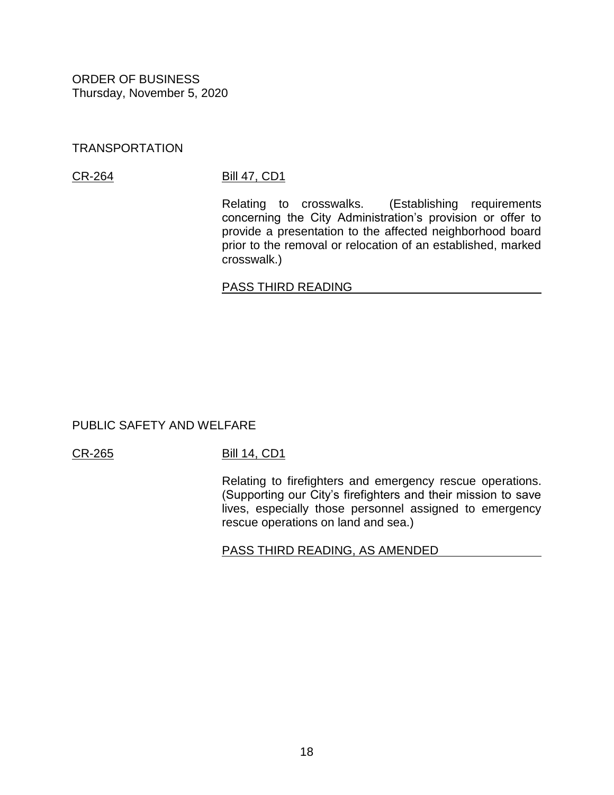## TRANSPORTATION

### [CR-264](https://hnldoc.ehawaii.gov/hnldoc/document-download?id=8266) [Bill 47, CD1](https://hnldoc.ehawaii.gov/hnldoc/document-download?id=7894)

Relating to crosswalks. (Establishing requirements concerning the City Administration's provision or offer to provide a presentation to the affected neighborhood board prior to the removal or relocation of an established, marked crosswalk.)

### PASS THIRD READING

# PUBLIC SAFETY AND WELFARE

#### [CR-265](https://hnldoc.ehawaii.gov/hnldoc/document-download?id=8267) [Bill 14, CD1](https://hnldoc.ehawaii.gov/hnldoc/document-download?id=8348)

Relating to firefighters and emergency rescue operations. (Supporting our City's firefighters and their mission to save lives, especially those personnel assigned to emergency rescue operations on land and sea.)

# PASS THIRD READING, AS AMENDED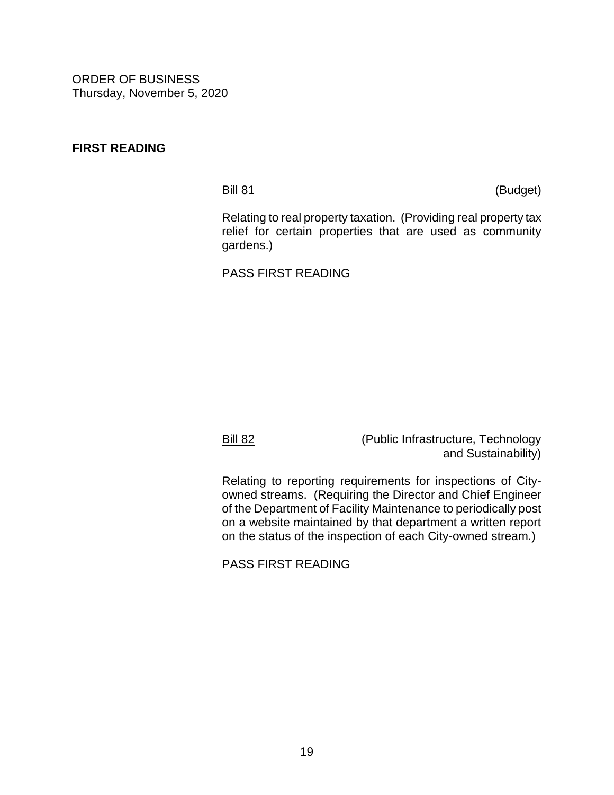# **FIRST READING**

[Bill 81](https://hnldoc.ehawaii.gov/hnldoc/document-download?id=8034) (Budget)

Relating to real property taxation. (Providing real property tax relief for certain properties that are used as community gardens.)

# PASS FIRST READING

[Bill 82](https://hnldoc.ehawaii.gov/hnldoc/document-download?id=8098) (Public Infrastructure, Technology and Sustainability)

Relating to reporting requirements for inspections of Cityowned streams. (Requiring the Director and Chief Engineer of the Department of Facility Maintenance to periodically post on a website maintained by that department a written report on the status of the inspection of each City-owned stream.)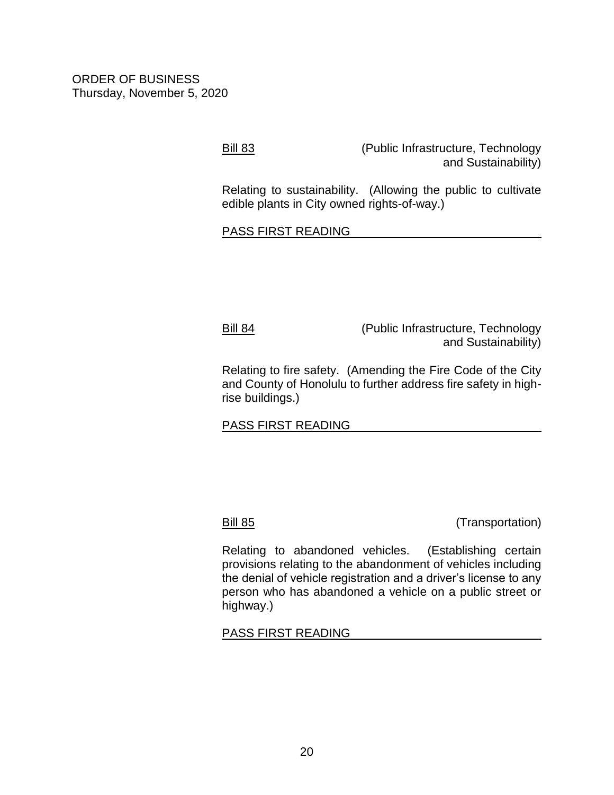[Bill 83](https://hnldoc.ehawaii.gov/hnldoc/document-download?id=8387) (Public Infrastructure, Technology and Sustainability)

Relating to sustainability. (Allowing the public to cultivate edible plants in City owned rights-of-way.)

PASS FIRST READING

[Bill 84](https://hnldoc.ehawaii.gov/hnldoc/document-download?id=8399) (Public Infrastructure, Technology and Sustainability)

Relating to fire safety. (Amending the Fire Code of the City and County of Honolulu to further address fire safety in highrise buildings.)

PASS FIRST READING

[Bill 85](https://hnldoc.ehawaii.gov/hnldoc/document-download?id=8413) (Transportation)

Relating to abandoned vehicles. (Establishing certain provisions relating to the abandonment of vehicles including the denial of vehicle registration and a driver's license to any person who has abandoned a vehicle on a public street or highway.)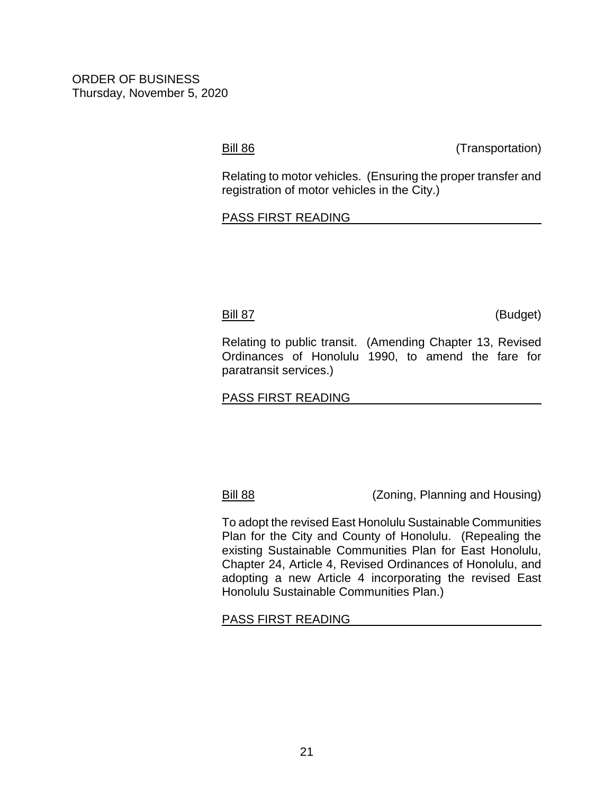[Bill 86](https://hnldoc.ehawaii.gov/hnldoc/document-download?id=8414) (Transportation)

Relating to motor vehicles. (Ensuring the proper transfer and registration of motor vehicles in the City.)

#### PASS FIRST READING

[Bill 87](https://hnldoc.ehawaii.gov/hnldoc/document-download?id=8444) (Budget)

Relating to public transit. (Amending Chapter 13, Revised Ordinances of Honolulu 1990, to amend the fare for paratransit services.)

### PASS FIRST READING

[Bill 88](https://hnldoc.ehawaii.gov/hnldoc/document-download?id=8424) (Zoning, Planning and Housing)

To adopt the revised East Honolulu Sustainable Communities Plan for the City and County of Honolulu. (Repealing the existing Sustainable Communities Plan for East Honolulu, Chapter 24, Article 4, Revised Ordinances of Honolulu, and adopting a new Article 4 incorporating the revised East Honolulu Sustainable Communities Plan.)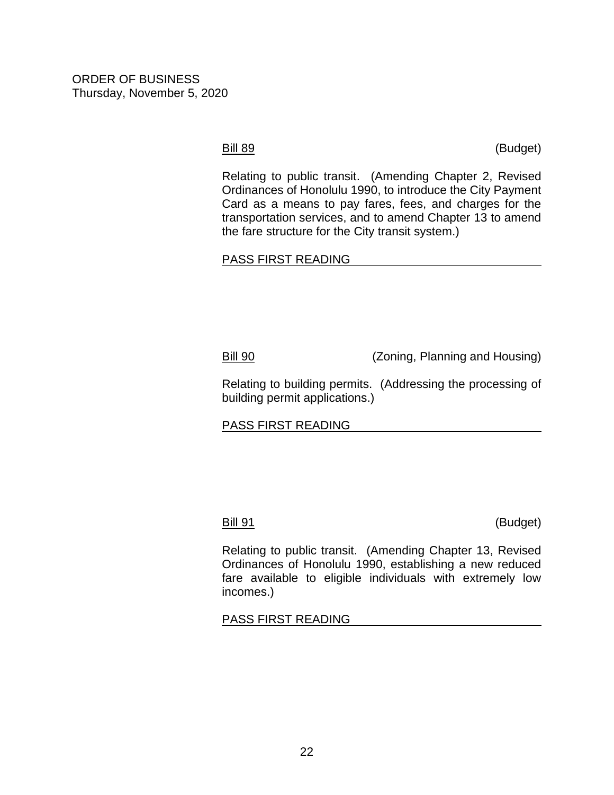[Bill 89](https://hnldoc.ehawaii.gov/hnldoc/document-download?id=8446) (Budget)

Relating to public transit. (Amending Chapter 2, Revised Ordinances of Honolulu 1990, to introduce the City Payment Card as a means to pay fares, fees, and charges for the transportation services, and to amend Chapter 13 to amend the fare structure for the City transit system.)

# PASS FIRST READING

[Bill 90](https://hnldoc.ehawaii.gov/hnldoc/document-download?id=8461) (Zoning, Planning and Housing)

Relating to building permits. (Addressing the processing of building permit applications.)

# PASS FIRST READING

[Bill](https://hnldoc.ehawaii.gov/hnldoc/document-download?id=8465) 91 (Budget)

Relating to public transit. (Amending Chapter 13, Revised Ordinances of Honolulu 1990, establishing a new reduced fare available to eligible individuals with extremely low incomes.)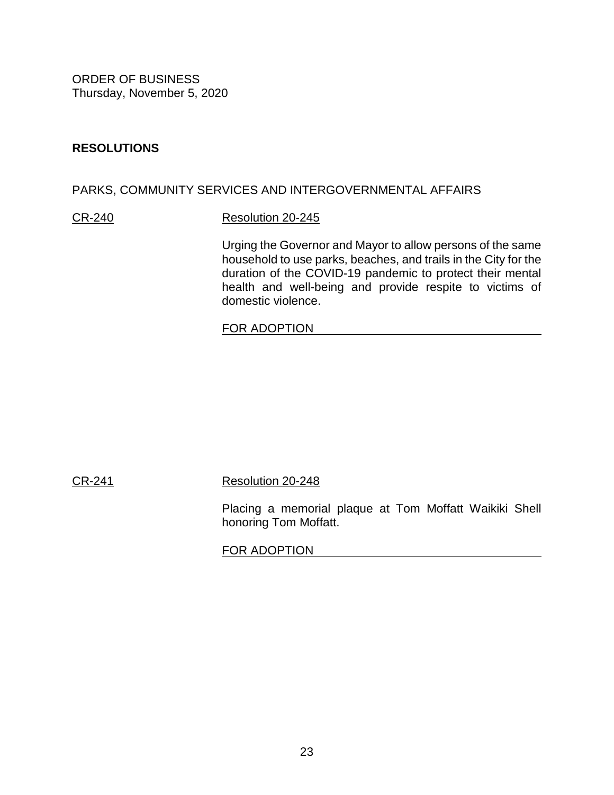# **RESOLUTIONS**

# PARKS, COMMUNITY SERVICES AND INTERGOVERNMENTAL AFFAIRS

### [CR-240](https://hnldoc.ehawaii.gov/hnldoc/document-download?id=7866) [Resolution 20-245](https://hnldoc.ehawaii.gov/hnldoc/document-download?id=7912)

Urging the Governor and Mayor to allow persons of the same household to use parks, beaches, and trails in the City for the duration of the COVID-19 pandemic to protect their mental health and well-being and provide respite to victims of domestic violence.

### FOR ADOPTION

[CR-241](https://hnldoc.ehawaii.gov/hnldoc/document-download?id=8153) [Resolution 20-248](https://hnldoc.ehawaii.gov/hnldoc/document-download?id=7959)

Placing a memorial plaque at Tom Moffatt Waikiki Shell honoring Tom Moffatt.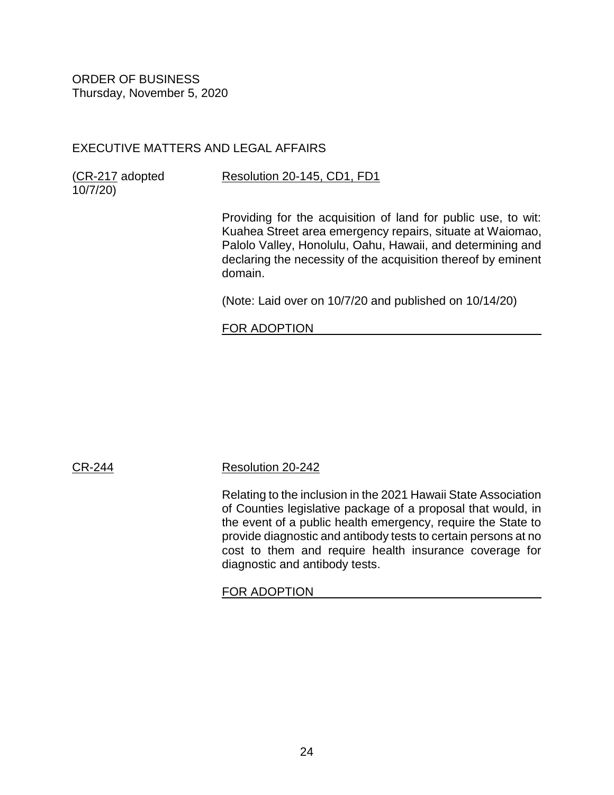# EXECUTIVE MATTERS AND LEGAL AFFAIRS

[\(CR-217](https://hnldoc.ehawaii.gov/hnldoc/document-download?id=7570) adopted 10/7/20)

# [Resolution 20-145, CD1, FD1](https://hnldoc.ehawaii.gov/hnldoc/document-download?id=8094)

Providing for the acquisition of land for public use, to wit: Kuahea Street area emergency repairs, situate at Waiomao, Palolo Valley, Honolulu, Oahu, Hawaii, and determining and declaring the necessity of the acquisition thereof by eminent domain.

(Note: Laid over on 10/7/20 and published on 10/14/20)

# FOR ADOPTION

# [CR-244](https://hnldoc.ehawaii.gov/hnldoc/document-download?id=8156) [Resolution 20-242](https://hnldoc.ehawaii.gov/hnldoc/document-download?id=7823)

Relating to the inclusion in the 2021 Hawaii State Association of Counties legislative package of a proposal that would, in the event of a public health emergency, require the State to provide diagnostic and antibody tests to certain persons at no cost to them and require health insurance coverage for diagnostic and antibody tests.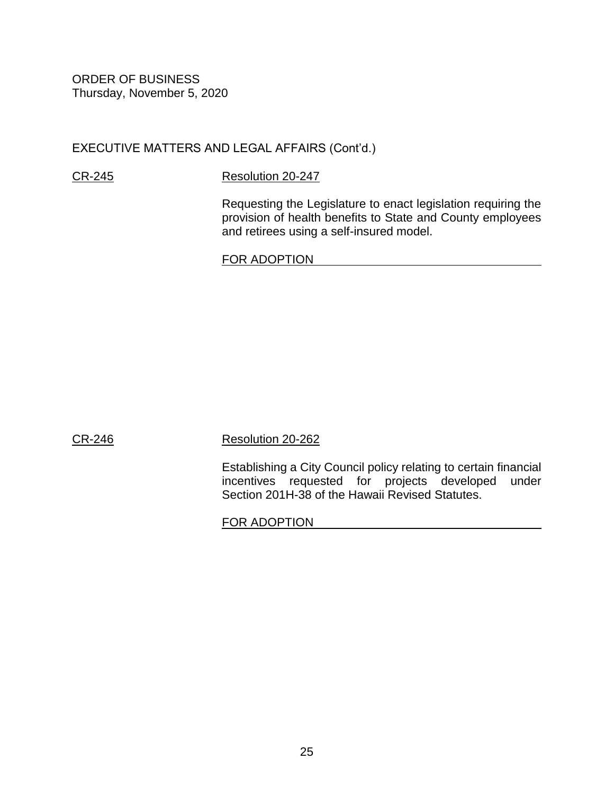EXECUTIVE MATTERS AND LEGAL AFFAIRS (Cont'd.)

[CR-245](https://hnldoc.ehawaii.gov/hnldoc/document-download?id=8157) [Resolution 20-247](https://hnldoc.ehawaii.gov/hnldoc/document-download?id=7950)

Requesting the Legislature to enact legislation requiring the provision of health benefits to State and County employees and retirees using a self-insured model.

FOR ADOPTION

[CR-246](https://hnldoc.ehawaii.gov/hnldoc/document-download?id=8158) [Resolution 20-262](https://hnldoc.ehawaii.gov/hnldoc/document-download?id=8121)

Establishing a City Council policy relating to certain financial incentives requested for projects developed under Section 201H-38 of the Hawaii Revised Statutes.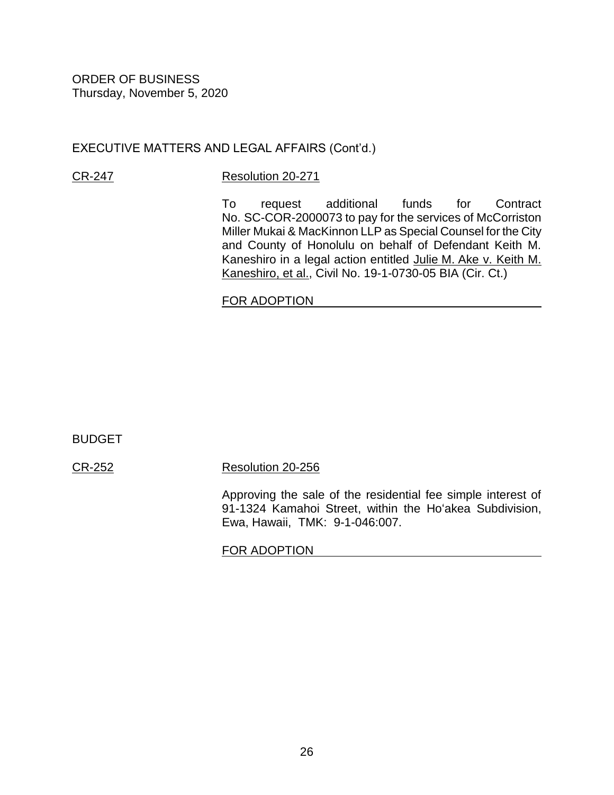# EXECUTIVE MATTERS AND LEGAL AFFAIRS (Cont'd.)

### [CR-247](https://hnldoc.ehawaii.gov/hnldoc/document-download?id=8159) [Resolution 20-271](https://hnldoc.ehawaii.gov/hnldoc/document-download?id=8260)

To request additional funds for Contract No. SC-COR-2000073 to pay for the services of McCorriston Miller Mukai & MacKinnon LLP as Special Counsel for the City and County of Honolulu on behalf of Defendant Keith M. Kaneshiro in a legal action entitled Julie M. Ake v. Keith M. Kaneshiro, et al., Civil No. 19-1-0730-05 BIA (Cir. Ct.)

# FOR ADOPTION

BUDGET

[CR-252](https://hnldoc.ehawaii.gov/hnldoc/document-download?id=8232) [Resolution 20-256](https://hnldoc.ehawaii.gov/hnldoc/document-download?id=8109)

Approving the sale of the residential fee simple interest of 91-1324 Kamahoi Street, within the Ho'akea Subdivision, Ewa, Hawaii, TMK: 9-1-046:007.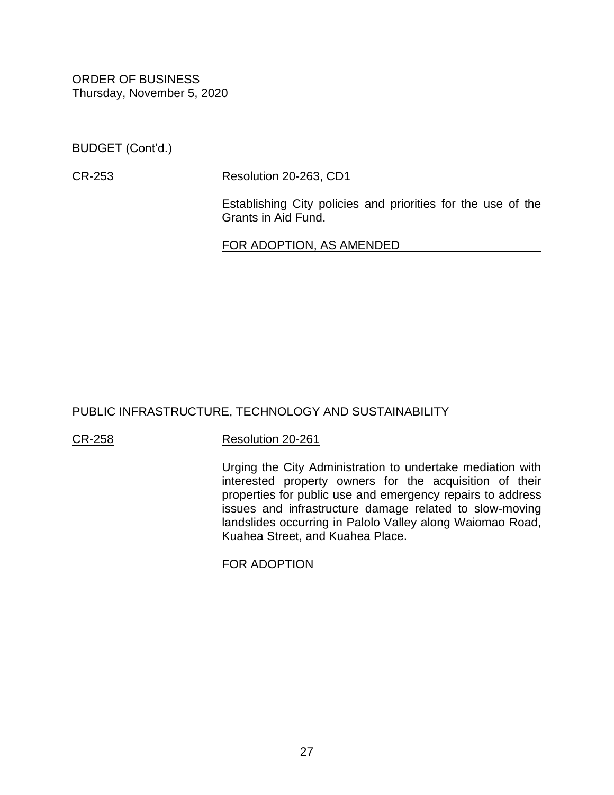BUDGET (Cont'd.)

# [CR-253](https://hnldoc.ehawaii.gov/hnldoc/document-download?id=8234) [Resolution 20-263, CD1](https://hnldoc.ehawaii.gov/hnldoc/document-download?id=8287)

Establishing City policies and priorities for the use of the Grants in Aid Fund.

FOR ADOPTION, AS AMENDED

# PUBLIC INFRASTRUCTURE, TECHNOLOGY AND SUSTAINABILITY

# [CR-258](https://hnldoc.ehawaii.gov/hnldoc/document-download?id=8239) [Resolution 20-261](https://hnldoc.ehawaii.gov/hnldoc/document-download?id=8119)

Urging the City Administration to undertake mediation with interested property owners for the acquisition of their properties for public use and emergency repairs to address issues and infrastructure damage related to slow-moving landslides occurring in Palolo Valley along Waiomao Road, Kuahea Street, and Kuahea Place.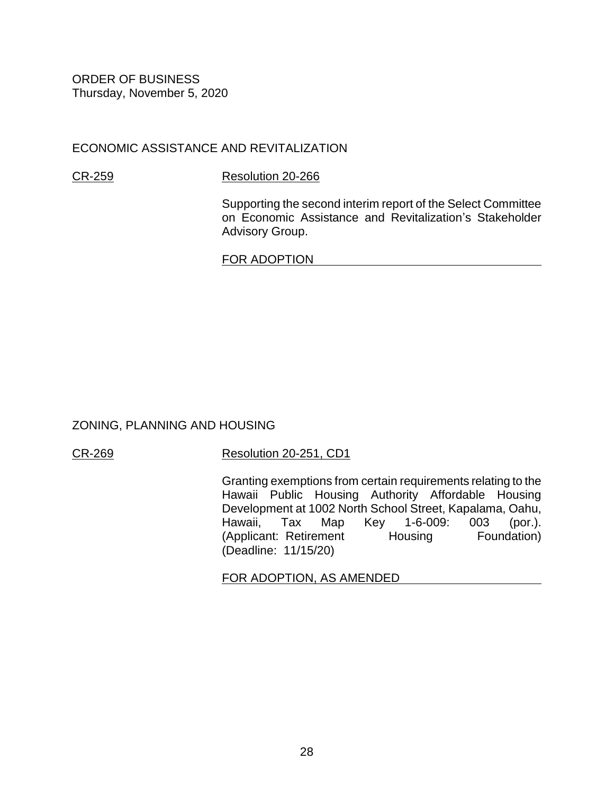# ECONOMIC ASSISTANCE AND REVITALIZATION

### [CR-259](https://hnldoc.ehawaii.gov/hnldoc/document-download?id=8240) [Resolution 20-266](https://hnldoc.ehawaii.gov/hnldoc/document-download?id=8151)

Supporting the second interim report of the Select Committee on Economic Assistance and Revitalization's Stakeholder Advisory Group.

### FOR ADOPTION

# ZONING, PLANNING AND HOUSING

# [CR-269](https://hnldoc.ehawaii.gov/hnldoc/document-download?id=8271) [Resolution 20-251, CD1](https://hnldoc.ehawaii.gov/hnldoc/document-download?id=8451)

Granting exemptions from certain requirements relating to the Hawaii Public Housing Authority Affordable Housing Development at 1002 North School Street, Kapalama, Oahu, Hawaii, Tax Map Key 1-6-009: 003 (por.). (Applicant: Retirement Housing Foundation) (Deadline: 11/15/20)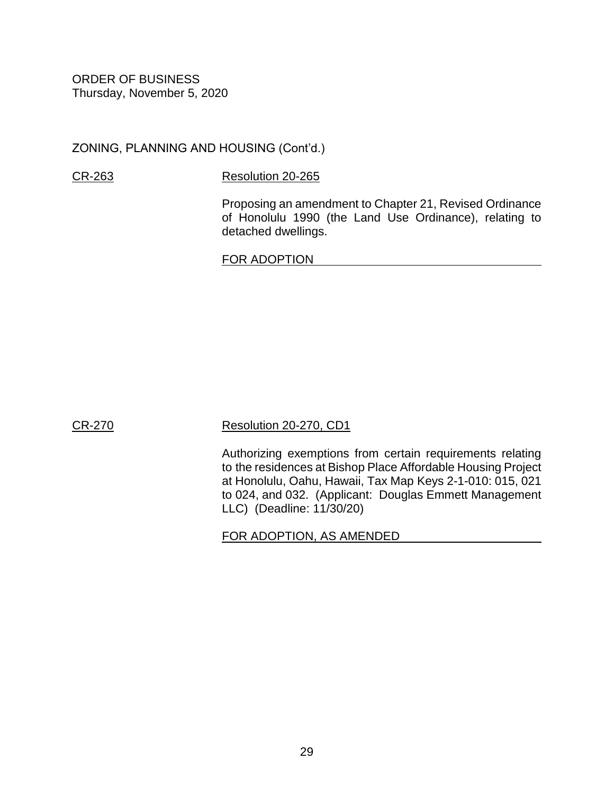ZONING, PLANNING AND HOUSING (Cont'd.)

## [CR-263](https://hnldoc.ehawaii.gov/hnldoc/document-download?id=8265) [Resolution 20-265](https://hnldoc.ehawaii.gov/hnldoc/document-download?id=8143)

Proposing an amendment to Chapter 21, Revised Ordinance of Honolulu 1990 (the Land Use Ordinance), relating to detached dwellings.

FOR ADOPTION

[CR-270](https://hnldoc.ehawaii.gov/hnldoc/document-download?id=8272) [Resolution 20-270, CD1](https://hnldoc.ehawaii.gov/hnldoc/document-download?id=8452)

Authorizing exemptions from certain requirements relating to the residences at Bishop Place Affordable Housing Project at Honolulu, Oahu, Hawaii, Tax Map Keys 2-1-010: 015, 021 to 024, and 032. (Applicant: Douglas Emmett Management LLC) (Deadline: 11/30/20)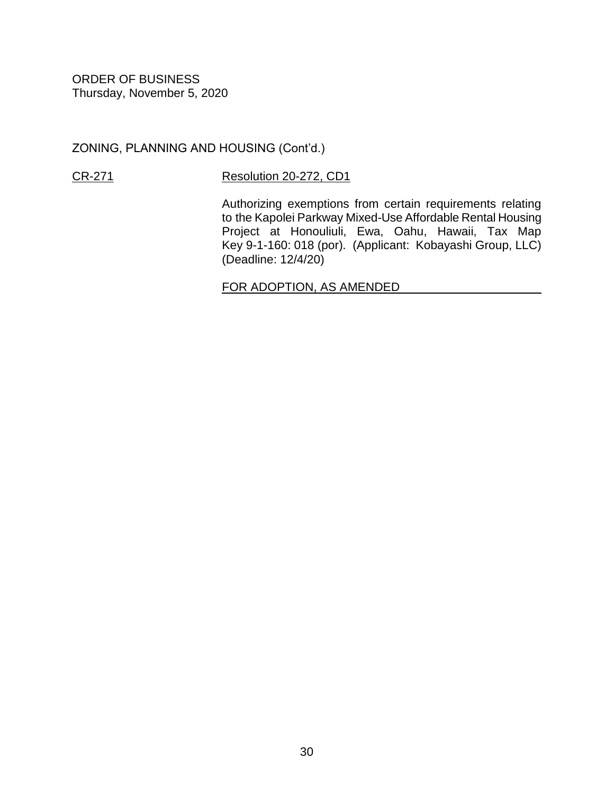ZONING, PLANNING AND HOUSING (Cont'd.)

# [CR-271](https://hnldoc.ehawaii.gov/hnldoc/document-download?id=8443) [Resolution 20-272, CD1](https://hnldoc.ehawaii.gov/hnldoc/document-download?id=8453)

Authorizing exemptions from certain requirements relating to the Kapolei Parkway Mixed-Use Affordable Rental Housing Project at Honouliuli, Ewa, Oahu, Hawaii, Tax Map Key 9-1-160: 018 (por). (Applicant: Kobayashi Group, LLC) (Deadline: 12/4/20)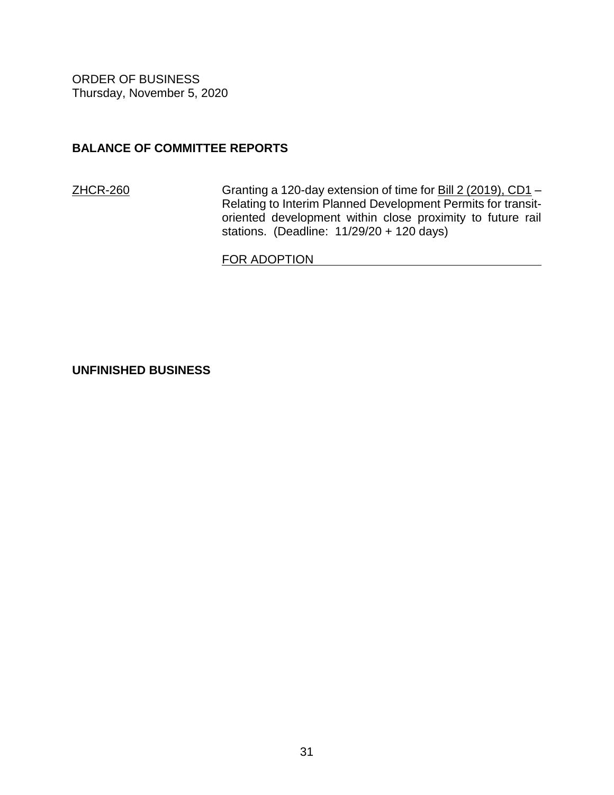# **BALANCE OF COMMITTEE REPORTS**

[ZHCR-260](https://hnldoc.ehawaii.gov/hnldoc/document-download?id=8241) Granting a 120-day extension of time for [Bill 2 \(2019\), CD1](https://hnldoc.ehawaii.gov/hnldoc/document-download?id=772) -Relating to Interim Planned Development Permits for transitoriented development within close proximity to future rail stations. (Deadline: 11/29/20 + 120 days)

FOR ADOPTION

**UNFINISHED BUSINESS**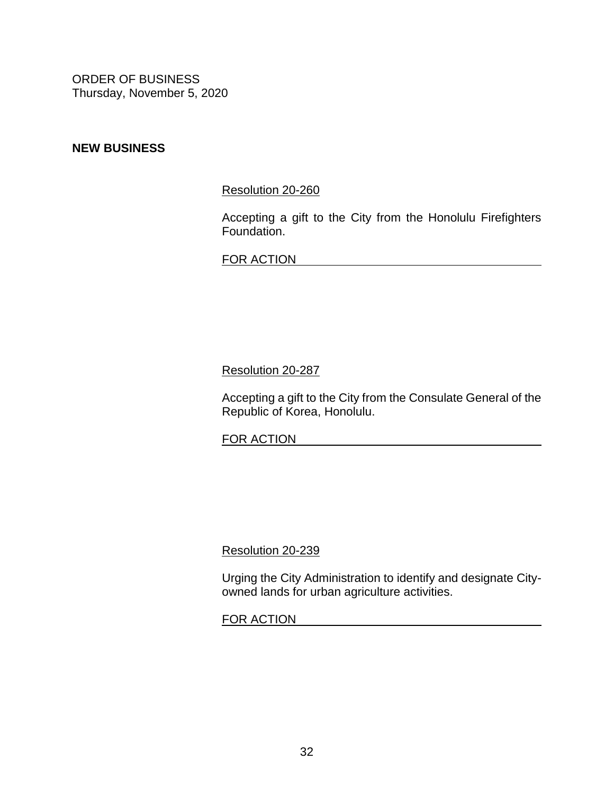# **NEW BUSINESS**

[Resolution 20-260](https://hnldoc.ehawaii.gov/hnldoc/document-download?id=8118)

Accepting a gift to the City from the Honolulu Firefighters Foundation.

FOR ACTION **FOR ACTION** 

[Resolution 20-287](https://hnldoc.ehawaii.gov/hnldoc/document-download?id=8338)

Accepting a gift to the City from the Consulate General of the Republic of Korea, Honolulu.

FOR ACTION **FOR ACTION** 

[Resolution 20-239](https://hnldoc.ehawaii.gov/hnldoc/document-download?id=7763)

Urging the City Administration to identify and designate Cityowned lands for urban agriculture activities.

FOR ACTION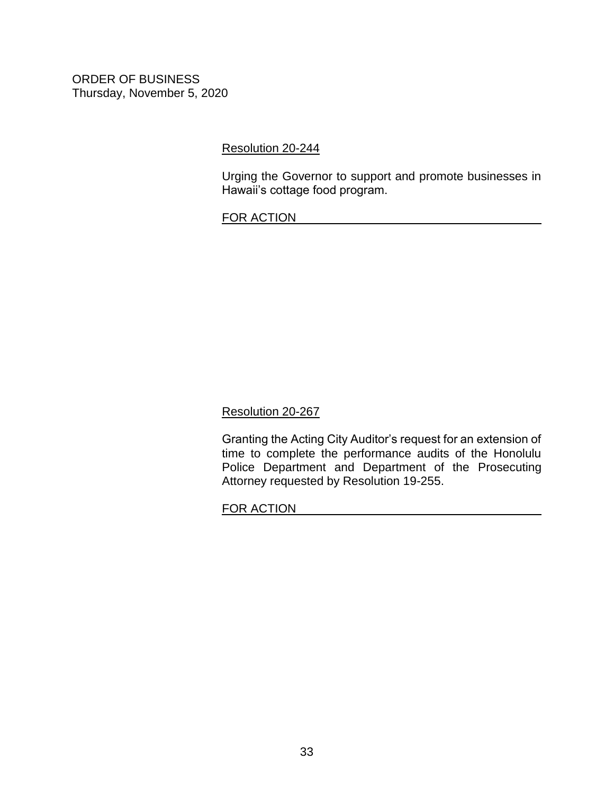[Resolution 20-244](https://hnldoc.ehawaii.gov/hnldoc/document-download?id=7911)

Urging the Governor to support and promote businesses in Hawaii's cottage food program.

FOR ACTION

[Resolution 20-267](https://hnldoc.ehawaii.gov/hnldoc/document-download?id=8171)

Granting the Acting City Auditor's request for an extension of time to complete the performance audits of the Honolulu Police Department and Department of the Prosecuting Attorney requested by Resolution 19-255.

FOR ACTION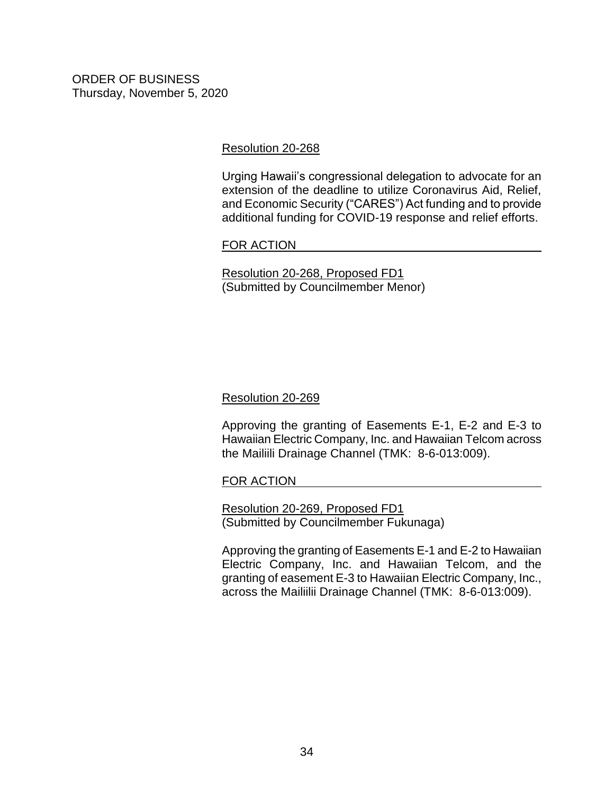### [Resolution 20-268](https://hnldoc.ehawaii.gov/hnldoc/document-download?id=8184)

Urging Hawaii's congressional delegation to advocate for an extension of the deadline to utilize Coronavirus Aid, Relief, and Economic Security ("CARES") Act funding and to provide additional funding for COVID-19 response and relief efforts.

### FOR ACTION

[Resolution 20-268, Proposed FD1](https://hnldoc.ehawaii.gov/hnldoc/document-download?id=8397) (Submitted by Councilmember Menor)

# [Resolution 20-269](https://hnldoc.ehawaii.gov/hnldoc/document-download?id=8185)

Approving the granting of Easements E-1, E-2 and E-3 to Hawaiian Electric Company, Inc. and Hawaiian Telcom across the Mailiili Drainage Channel (TMK: 8-6-013:009).

# FOR ACTION

[Resolution 20-269, Proposed FD1](https://hnldoc.ehawaii.gov/hnldoc/document-download?id=8469) (Submitted by Councilmember Fukunaga)

Approving the granting of Easements E-1 and E-2 to Hawaiian Electric Company, Inc. and Hawaiian Telcom, and the granting of easement E-3 to Hawaiian Electric Company, Inc., across the Mailiilii Drainage Channel (TMK: 8-6-013:009).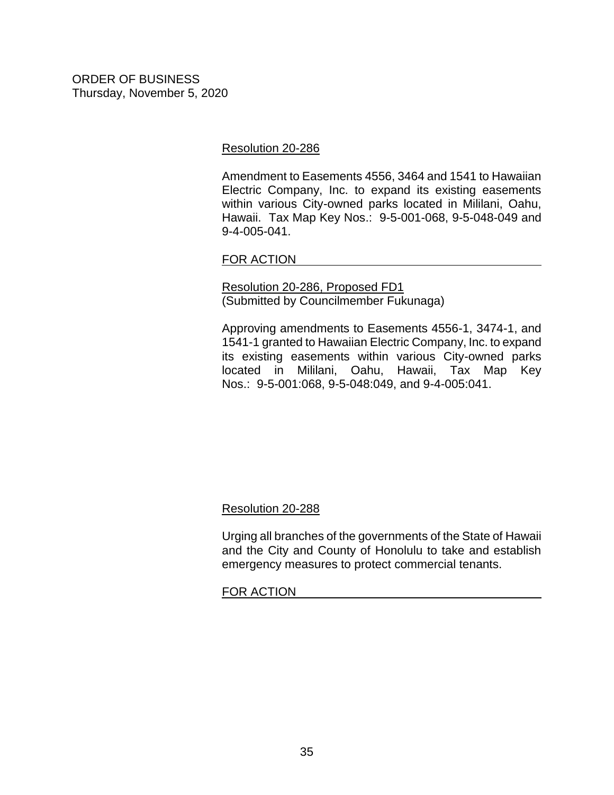### [Resolution 20-286](https://hnldoc.ehawaii.gov/hnldoc/document-download?id=8331)

Amendment to Easements 4556, 3464 and 1541 to Hawaiian Electric Company, Inc. to expand its existing easements within various City-owned parks located in Mililani, Oahu, Hawaii. Tax Map Key Nos.: 9-5-001-068, 9-5-048-049 and 9-4-005-041.

### FOR ACTION

[Resolution 20-286, Proposed FD1](https://hnldoc.ehawaii.gov/hnldoc/document-download?id=8457) (Submitted by Councilmember Fukunaga)

Approving amendments to Easements 4556-1, 3474-1, and 1541-1 granted to Hawaiian Electric Company, Inc. to expand its existing easements within various City-owned parks located in Mililani, Oahu, Hawaii, Tax Map Key Nos.: 9-5-001:068, 9-5-048:049, and 9-4-005:041.

# [Resolution 20-288](https://hnldoc.ehawaii.gov/hnldoc/document-download?id=8364)

Urging all branches of the governments of the State of Hawaii and the City and County of Honolulu to take and establish emergency measures to protect commercial tenants.

# FOR ACTION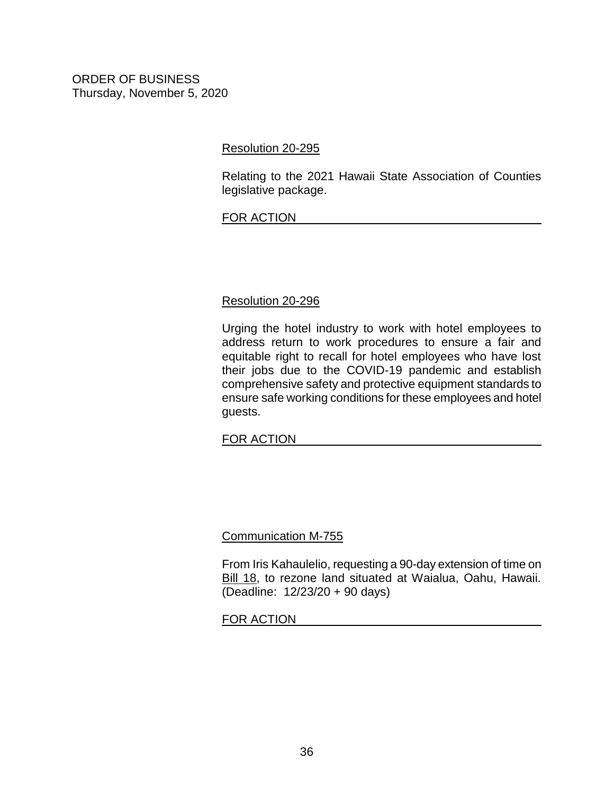## [Resolution 20-295](https://hnldoc.ehawaii.gov/hnldoc/document-download?id=8471)

Relating to the 2021 Hawaii State Association of Counties legislative package.

# FOR ACTION

# [Resolution 20-296](https://hnldoc.ehawaii.gov/hnldoc/document-download?id=8472)

Urging the hotel industry to work with hotel employees to address return to work procedures to ensure a fair and equitable right to recall for hotel employees who have lost their jobs due to the COVID-19 pandemic and establish comprehensive safety and protective equipment standards to ensure safe working conditions for these employees and hotel guests.

# FOR ACTION

#### [Communication M-755](https://hnldoc.ehawaii.gov/hnldoc/document-download?id=8389)

From Iris Kahaulelio, requesting a 90-day extension of time on [Bill 18,](https://hnldoc.ehawaii.gov/hnldoc/document-download?id=5806) to rezone land situated at Waialua, Oahu, Hawaii. (Deadline: 12/23/20 + 90 days)

#### FOR ACTION